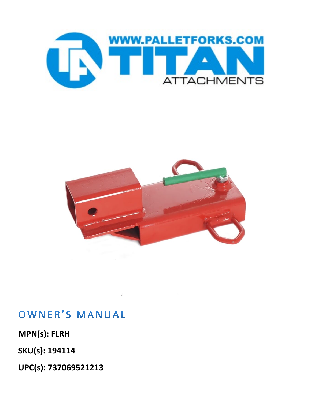



## OWNER'S MANUAL

**MPN(s): FLRH**

**SKU(s): 194114**

**UPC(s): 737069521213**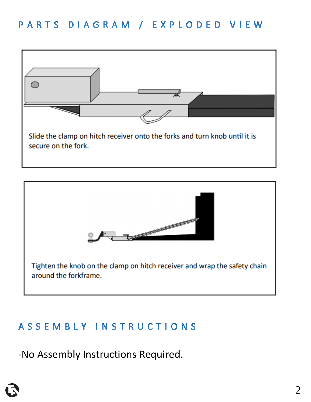



## ASSEMBLY INSTRUCTIONS

-No Assembly Instructions Required.